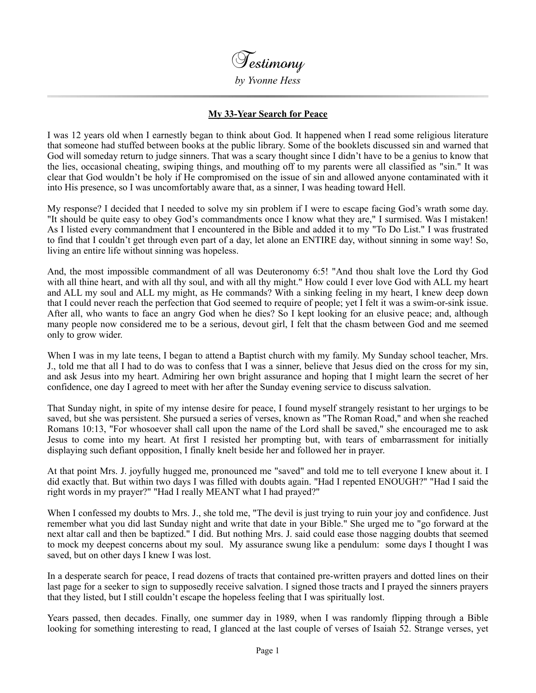

## **My 33-Year Search for Peace**

I was 12 years old when I earnestly began to think about God. It happened when I read some religious literature that someone had stuffed between books at the public library. Some of the booklets discussed sin and warned that God will someday return to judge sinners. That was a scary thought since I didn't have to be a genius to know that the lies, occasional cheating, swiping things, and mouthing off to my parents were all classified as "sin." It was clear that God wouldn't be holy if He compromised on the issue of sin and allowed anyone contaminated with it into His presence, so I was uncomfortably aware that, as a sinner, I was heading toward Hell.

My response? I decided that I needed to solve my sin problem if I were to escape facing God's wrath some day. "It should be quite easy to obey God's commandments once I know what they are," I surmised. Was I mistaken! As I listed every commandment that I encountered in the Bible and added it to my "To Do List." I was frustrated to find that I couldn't get through even part of a day, let alone an ENTIRE day, without sinning in some way! So, living an entire life without sinning was hopeless.

And, the most impossible commandment of all was Deuteronomy 6:5! "And thou shalt love the Lord thy God with all thine heart, and with all thy soul, and with all thy might." How could I ever love God with ALL my heart and ALL my soul and ALL my might, as He commands? With a sinking feeling in my heart, I knew deep down that I could never reach the perfection that God seemed to require of people; yet I felt it was a swim-or-sink issue. After all, who wants to face an angry God when he dies? So I kept looking for an elusive peace; and, although many people now considered me to be a serious, devout girl, I felt that the chasm between God and me seemed only to grow wider.

When I was in my late teens, I began to attend a Baptist church with my family. My Sunday school teacher, Mrs. J., told me that all I had to do was to confess that I was a sinner, believe that Jesus died on the cross for my sin, and ask Jesus into my heart. Admiring her own bright assurance and hoping that I might learn the secret of her confidence, one day I agreed to meet with her after the Sunday evening service to discuss salvation.

That Sunday night, in spite of my intense desire for peace, I found myself strangely resistant to her urgings to be saved, but she was persistent. She pursued a series of verses, known as "The Roman Road," and when she reached Romans 10:13, "For whosoever shall call upon the name of the Lord shall be saved," she encouraged me to ask Jesus to come into my heart. At first I resisted her prompting but, with tears of embarrassment for initially displaying such defiant opposition, I finally knelt beside her and followed her in prayer.

At that point Mrs. J. joyfully hugged me, pronounced me "saved" and told me to tell everyone I knew about it. I did exactly that. But within two days I was filled with doubts again. "Had I repented ENOUGH?" "Had I said the right words in my prayer?" "Had I really MEANT what I had prayed?"

When I confessed my doubts to Mrs. J., she told me, "The devil is just trying to ruin your joy and confidence. Just remember what you did last Sunday night and write that date in your Bible." She urged me to "go forward at the next altar call and then be baptized." I did. But nothing Mrs. J. said could ease those nagging doubts that seemed to mock my deepest concerns about my soul. My assurance swung like a pendulum: some days I thought I was saved, but on other days I knew I was lost.

In a desperate search for peace, I read dozens of tracts that contained pre-written prayers and dotted lines on their last page for a seeker to sign to supposedly receive salvation. I signed those tracts and I prayed the sinners prayers that they listed, but I still couldn't escape the hopeless feeling that I was spiritually lost.

Years passed, then decades. Finally, one summer day in 1989, when I was randomly flipping through a Bible looking for something interesting to read, I glanced at the last couple of verses of Isaiah 52. Strange verses, yet